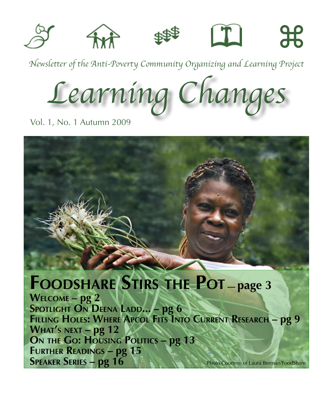

*Newsletter of the Anti-Poverty Community Organizing and Learning Project*

*Learning Changes*

Vol. 1, No. 1 Autumn 2009

# **Foodshare Stirs the Pot — page 3**

**Welcome – pg 2 Spotlight On Deena Ladd... – pg 6 Filling Holes: Where Apcol Fits Into Current Research – pg 9 What's next – pg 12 On the Go: Housing Politics – pg 13 Further Readings – pg 15 Speaker Series – pg 16** Photo Courtesy of Laura Berman/FoodShare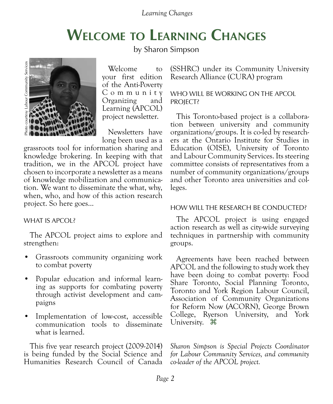## **Welcome to Learning Changes**

by Sharon Simpson



Welcome to your first edition of the Anti-Poverty C o m m u n i t y Organizing and Learning (APCOL) project newsletter.

Newsletters have long been used as a

grassroots tool for information sharing and knowledge brokering. In keeping with that tradition, we in the APCOL project have chosen to incorporate a newsletter as a means of knowledge mobilization and communication. We want to disseminate the what, why, when, who, and how of this action research project. So here goes...

### WHAT IS APCOL?

The APCOL project aims to explore and strengthen:

- • Grassroots community organizing work to combat poverty
- • Popular education and informal learning as supports for combating poverty through activist development and campaigns
- • Implementation of low-cost, accessible communication tools to disseminate what is learned.

This five year research project (2009-2014) is being funded by the Social Science and Humanities Research Council of Canada

(SSHRC) under its Community University Research Alliance (CURA) program

### WHO WILL BE WORKING ON THE APCOL PROJECT?

This Toronto-based project is a collaboration between university and community organizations/groups. It is co-led by researchers at the Ontario Institute for Studies in Education (OISE), University of Toronto and Labour Community Services. Its steering committee consists of representatives from a number of community organizations/groups and other Toronto area universities and colleges.

### HOW WILL THE RESEARCH BE CONDUCTED?

The APCOL project is using engaged action research as well as city-wide surveying techniques in partnership with community groups.

Agreements have been reached between APCOL and the following to study work they have been doing to combat poverty: Food Share Toronto, Social Planning Toronto, Toronto and York Region Labour Council, Association of Community Organizations for Reform Now (ACORN), George Brown College, Ryerson University, and York University.  $\mathcal{H}$ 

*Sharon Simpson is Special Projects Coordinator for Labour Community Services, and community co-leader of the APCOL project.*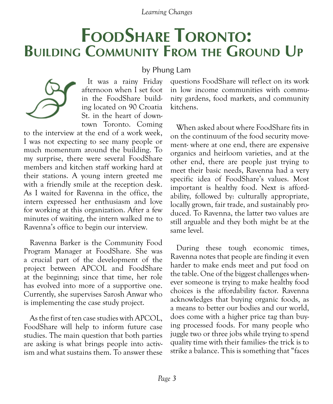# **FoodShare Toronto: Building Community From the Ground Up**

by Phung Lam



It was a rainy Friday afternoon when I set foot in the FoodShare building located on 90 Croatia St. in the heart of downtown Toronto. Coming

to the interview at the end of a work week, I was not expecting to see many people or much momentum around the building. To my surprise, there were several FoodShare members and kitchen staff working hard at their stations. A young intern greeted me with a friendly smile at the reception desk. As I waited for Ravenna in the office, the intern expressed her enthusiasm and love for working at this organization. After a few minutes of waiting, the intern walked me to Ravenna's office to begin our interview.

Ravenna Barker is the Community Food Program Manager at FoodShare. She was a crucial part of the development of the project between APCOL and FoodShare at the beginning; since that time, her role has evolved into more of a supportive one. Currently, she supervises Sarosh Anwar who is implementing the case study project.

As the first of ten case studies with APCOL, FoodShare will help to inform future case studies. The main question that both parties are asking is what brings people into activism and what sustains them. To answer these questions FoodShare will reflect on its work in low income communities with community gardens, food markets, and community kitchens.

When asked about where FoodShare fits in on the continuum of the food security movement- where at one end, there are expensive organics and heirloom varieties, and at the other end, there are people just trying to meet their basic needs, Ravenna had a very specific idea of FoodShare's values. Most important is healthy food. Next is affordability, followed by: culturally appropriate, locally grown, fair trade, and sustainably produced. To Ravenna, the latter two values are still arguable and they both might be at the same level.

During these tough economic times, Ravenna notes that people are finding it even harder to make ends meet and put food on the table. One of the biggest challenges whenever someone is trying to make healthy food choices is the affordability factor. Ravenna acknowledges that buying organic foods, as a means to better our bodies and our world, does come with a higher price tag than buying processed foods. For many people who juggle two or three jobs while trying to spend quality time with their families- the trick is to strike a balance. This is something that "faces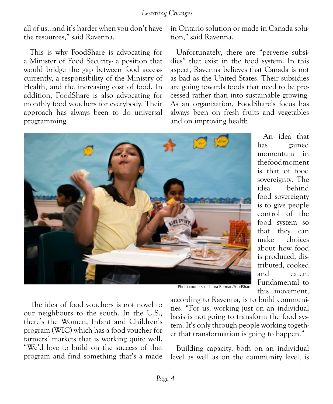all of us…and it's harder when you don't have the resources," said Ravenna.

This is why FoodShare is advocating for a Minister of Food Security- a position that would bridge the gap between food accesscurrently, a responsibility of the Ministry of Health, and the increasing cost of food. In addition, FoodShare is also advocating for monthly food vouchers for everybody. Their approach has always been to do universal programming.

in Ontario solution or made in Canada solution," said Ravenna.

Unfortunately, there are "perverse subsidies" that exist in the food system. In this aspect, Ravenna believes that Canada is not as bad as the United States. Their subsidies are going towards foods that need to be processed rather than into sustainable growing. As an organization, FoodShare's focus has always been on fresh fruits and vegetables and on improving health.



An idea that has gained momentum in the food moment is that of food sovereignty. The idea behind food sovereignty is to give people control of the food system so that they can make choices about how food is produced, distributed, cooked and eaten. Fundamental to this movement,

Photo courtesy of Laura Berman/FoodShare

The idea of food vouchers is not novel to our neighbours to the south. In the U.S., there's the Women, Infant and Children's program (WIC) which has a food voucher for farmers' markets that is working quite well. "We'd love to build on the success of that program and find something that's a made according to Ravenna, is to build communities. "For us, working just on an individual basis is not going to transform the food system. It's only through people working together that transformation is going to happen."

Building capacity, both on an individual level as well as on the community level, is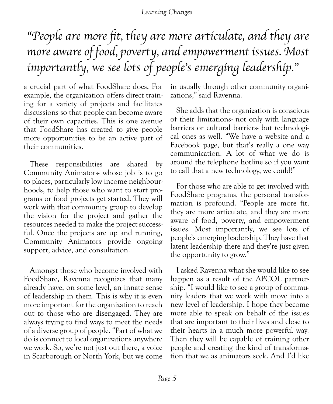# "People are more fit, they are more articulate, and they are more aware of food, poverty, and empowerment issues. Most importantly, we see lots of people's emerging leadership."

a crucial part of what FoodShare does. For example, the organization offers direct training for a variety of projects and facilitates discussions so that people can become aware of their own capacities. This is one avenue that FoodShare has created to give people more opportunities to be an active part of their communities.

These responsibilities are shared by Community Animators- whose job is to go to places, particularly low income neighbourhoods, to help those who want to start programs or food projects get started. They will work with that community group to develop the vision for the project and gather the resources needed to make the project successful. Once the projects are up and running, Community Animators provide ongoing support, advice, and consultation.

Amongst those who become involved with FoodShare, Ravenna recognizes that many already have, on some level, an innate sense of leadership in them. This is why it is even more important for the organization to reach out to those who are disengaged. They are always trying to find ways to meet the needs of a diverse group of people. "Part of what we do is connect to local organizations anywhere we work. So, we're not just out there, a voice in Scarborough or North York, but we come in usually through other community organizations," said Ravenna.

She adds that the organization is conscious of their limitations- not only with language barriers or cultural barriers- but technological ones as well. "We have a website and a Facebook page, but that's really a one way communication. A lot of what we do is around the telephone hotline so if you want to call that a new technology, we could!"

For those who are able to get involved with FoodShare programs, the personal transformation is profound. "People are more fit, they are more articulate, and they are more aware of food, poverty, and empowerment issues. Most importantly, we see lots of people's emerging leadership. They have that latent leadership there and they're just given the opportunity to grow."

I asked Ravenna what she would like to see happen as a result of the APCOL partnership. "I would like to see a group of community leaders that we work with move into a new level of leadership. I hope they become more able to speak on behalf of the issues that are important to their lives and close to their hearts in a much more powerful way. Then they will be capable of training other people and creating the kind of transformation that we as animators seek. And I'd like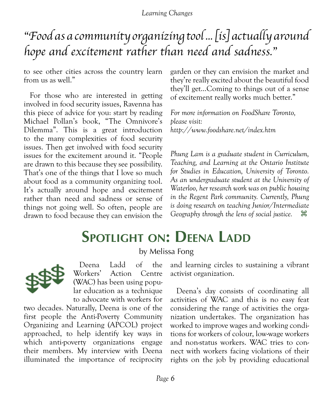## "Food as a community organizing tool ... [is] actually around hope and excitement rather than need and sadness."

to see other cities across the country learn from us as well."

For those who are interested in getting involved in food security issues, Ravenna has this piece of advice for you: start by reading Michael Pollan's book, "The Omnivore's Dilemma". This is a great introduction to the many complexities of food security issues. Then get involved with food security issues for the excitement around it. "People are drawn to this because they see possibility. That's one of the things that I love so much about food as a community organizing tool. It's actually around hope and excitement rather than need and sadness or sense of things not going well. So often, people are drawn to food because they can envision the garden or they can envision the market and they're really excited about the beautiful food they'll get…Coming to things out of a sense of excitement really works much better."

*For more information on FoodShare Toronto, please visit: <http://www.foodshare.net/index.htm>*

*Phung Lam is a graduate student in Curriculum, Teaching, and Learning at the Ontario Institute for Studies in Education, University of Toronto. As an undergraduate student at the University of Waterloo, her research work was on public housing in the Regent Park community. Currently, Phung is doing research on teaching Junior/Intermediate Geography through the lens of social justice.*  $\mathcal{H}$ 

# **Spotlight on: Deena Ladd**

## by Melissa Fong



Deena Ladd of the Workers' Action Centre (WAC) has been using popular education as a technique to advocate with workers for

two decades. Naturally, Deena is one of the first people the Anti-Poverty Community Organizing and Learning (APCOL) project approached, to help identify key ways in which anti-poverty organizations engage their members. My interview with Deena illuminated the importance of reciprocity and learning circles to sustaining a vibrant activist organization.

Deena's day consists of coordinating all activities of WAC and this is no easy feat considering the range of activities the organization undertakes. The organization has worked to improve wages and working conditions for workers of colour, low-wage workers and non-status workers. WAC tries to connect with workers facing violations of their rights on the job by providing educational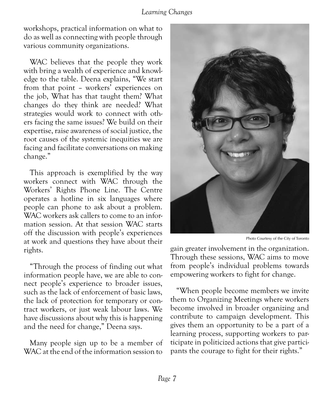workshops, practical information on what to do as well as connecting with people through various community organizations.

WAC believes that the people they work with bring a wealth of experience and knowledge to the table. Deena explains, "We start from that point – workers' experiences on the job, What has that taught them? What changes do they think are needed? What strategies would work to connect with others facing the same issues? We build on their expertise, raise awareness of social justice, the root causes of the systemic inequities we are facing and facilitate conversations on making change."

This approach is exemplified by the way workers connect with WAC through the Workers' Rights Phone Line. The Centre operates a hotline in six languages where people can phone to ask about a problem. WAC workers ask callers to come to an information session. At that session WAC starts off the discussion with people's experiences at work and questions they have about their rights.

"Through the process of finding out what information people have, we are able to connect people's experience to broader issues, such as the lack of enforcement of basic laws, the lack of protection for temporary or contract workers, or just weak labour laws. We have discussions about why this is happening and the need for change," Deena says.

Many people sign up to be a member of WAC at the end of the information session to



Photo Courtesy of the City of Toronto

gain greater involvement in the organization. Through these sessions, WAC aims to move from people's individual problems towards empowering workers to fight for change.

"When people become members we invite them to Organizing Meetings where workers become involved in broader organizing and contribute to campaign development. This gives them an opportunity to be a part of a learning process, supporting workers to participate in politicized actions that give participants the courage to fight for their rights."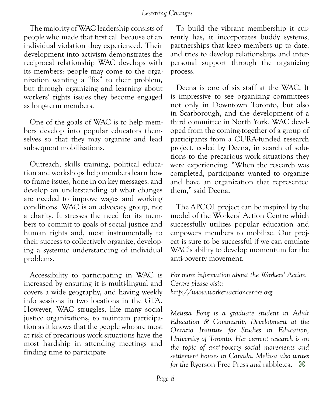The majority of WAC leadership consists of people who made that first call because of an individual violation they experienced. Their development into activism demonstrates the reciprocal relationship WAC develops with its members: people may come to the organization wanting a "fix" to their problem, but through organizing and learning about workers' rights issues they become engaged as long-term members.

One of the goals of WAC is to help members develop into popular educators themselves so that they may organize and lead subsequent mobilizations.

Outreach, skills training, political education and workshops help members learn how to frame issues, hone in on key messages, and develop an understanding of what changes are needed to improve wages and working conditions. WAC is an advocacy group, not a charity. It stresses the need for its members to commit to goals of social justice and human rights and, most instrumentally to their success to collectively organize, developing a systemic understanding of individual problems.

Accessibility to participating in WAC is increased by ensuring it is multi-lingual and covers a wide geography, and having weekly info sessions in two locations in the GTA. However, WAC struggles, like many social justice organizations, to maintain participation as it knows that the people who are most at risk of precarious work situations have the most hardship in attending meetings and finding time to participate.

To build the vibrant membership it currently has, it incorporates buddy systems, partnerships that keep members up to date, and tries to develop relationships and interpersonal support through the organizing process.

Deena is one of six staff at the WAC. It is impressive to see organizing committees not only in Downtown Toronto, but also in Scarborough, and the development of a third committee in North York. WAC developed from the coming-together of a group of participants from a CURA-funded research project, co-led by Deena, in search of solutions to the precarious work situations they were experiencing. "When the research was completed, participants wanted to organize and have an organization that represented them," said Deena.

The APCOL project can be inspired by the model of the Workers' Action Centre which successfully utilizes popular education and empowers members to mobilize. Our project is sure to be successful if we can emulate WAC's ability to develop momentum for the anti-poverty movement.

*For more information about the Workers' Action Centre please visit: <http://www.workersactioncentre.org>*

*Melissa Fong is a graduate student in Adult Education & Community Development at the Ontario Institute for Studies in Education, University of Toronto. Her current research is on the topic of anti-poverty social movements and settlement houses in Canada. Melissa also writes for the* Ryerson Free Press *and* rabble.ca*.* z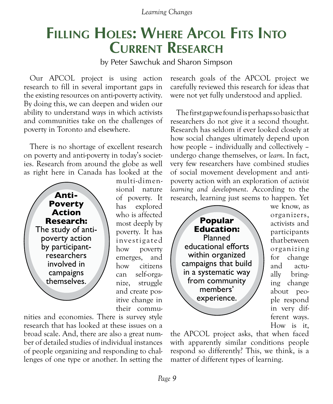## **Filling Holes: Where Apcol Fits Into Current Research**

by Peter Sawchuk and Sharon Simpson

Our APCOL project is using action research to fill in several important gaps in the existing resources on anti-poverty activity. By doing this, we can deepen and widen our ability to understand ways in which activists and communities take on the challenges of poverty in Toronto and elsewhere.

There is no shortage of excellent research on poverty and anti-poverty in today's societies. Research from around the globe as well as right here in Canada has looked at the



multi-dimensional nature of poverty. It has explored who is affected most deeply by poverty. It has investigated how poverty emerges, and how citizens can self-organize, struggle and create positive change in their commu-

nities and economies. There is survey style research that has looked at these issues on a broad scale. And, there are also a great number of detailed studies of individual instances of people organizing and responding to challenges of one type or another. In setting the research goals of the APCOL project we carefully reviewed this research for ideas that were not yet fully understood and applied.

The first gap we found is perhaps so basic that researchers do not give it a second thought. Research has seldom if ever looked closely at how social changes ultimately depend upon how people – individually and collectively – undergo change themselves, or *learn*. In fact, very few researchers have combined studies of social movement development and antipoverty action with an exploration of *activist learning and development*. According to the research, learning just seems to happen. Yet

**Popular Education:**  Planned educational efforts within organized campaigns that build in a systematic way from community members' experience.

we know, as organizers, activists and participants that between organizing for change and actually bringing change about people respond in very different ways. How is it,

the APCOL project asks, that when faced with apparently similar conditions people respond so differently? This, we think, is a matter of different types of learning.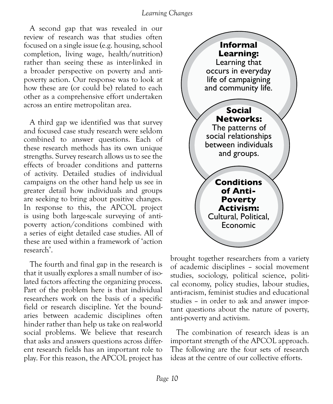A second gap that was revealed in our review of research was that studies often focused on a single issue (e.g. housing, school completion, living wage, health/nutrition) rather than seeing these as inter-linked in a broader perspective on poverty and antipoverty action. Our response was to look at how these are (or could be) related to each other as a comprehensive effort undertaken across an entire metropolitan area.

A third gap we identified was that survey and focused case study research were seldom combined to answer questions. Each of these research methods has its own unique strengths. Survey research allows us to see the effects of broader conditions and patterns of activity. Detailed studies of individual campaigns on the other hand help us see in greater detail how individuals and groups are seeking to bring about positive changes. In response to this, the APCOL project is using both large-scale surveying of antipoverty action/conditions combined with a series of eight detailed case studies. All of these are used within a framework of 'action research'.

The fourth and final gap in the research is that it usually explores a small number of isolated factors affecting the organizing process. Part of the problem here is that individual researchers work on the basis of a specific field or research discipline. Yet the boundaries between academic disciplines often hinder rather than help us take on real-world social problems. We believe that research that asks and answers questions across different research fields has an important role to play. For this reason, the APCOL project has



brought together researchers from a variety of academic disciplines – social movement studies, sociology, political science, political economy, policy studies, labour studies, anti-racism, feminist studies and educational studies – in order to ask and answer important questions about the nature of poverty, anti-poverty and activism.

The combination of research ideas is an important strength of the APCOL approach. The following are the four sets of research ideas at the centre of our collective efforts.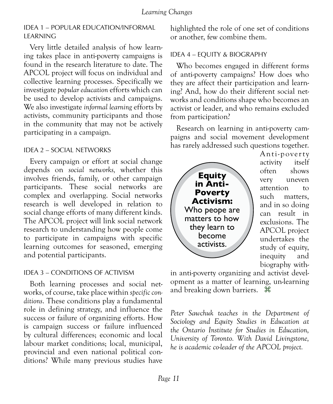### IDEA 1 – POPULAR EDUCATION/INFORMAL **LEARNING**

Very little detailed analysis of how learning takes place in anti-poverty campaigns is found in the research literature to date. The APCOL project will focus on individual and collective learning processes. Specifically we investigate *popular education* efforts which can be used to develop activists and campaigns. We also investigate *informal learning* efforts by activists, community participants and those in the community that may not be actively participating in a campaign.

### IDEA 2 – SOCIAL NETWORKS

Every campaign or effort at social change depends on *social networks,* whether this involves friends, family, or other campaign participants. These social networks are complex and overlapping. Social networks research is well developed in relation to social change efforts of many different kinds. The APCOL project will link social network research to understanding how people come to participate in campaigns with specific learning outcomes for seasoned, emerging and potential participants.

### IDEA 3 – CONDITIONS OF ACTIVISM

Both learning processes and social networks, of course, take place within *specific conditions*. These conditions play a fundamental role in defining strategy, and influence the success or failure of organizing efforts. How is campaign success or failure influenced by cultural differences; economic and local labour market conditions; local, municipal, provincial and even national political conditions? While many previous studies have

highlighted the role of one set of conditions or another, few combine them.

### IDEA 4 – EQUITY & BIOGRAPHY

Who becomes engaged in different forms of anti-poverty campaigns? How does who they are affect their participation and learning? And, how do their different social networks and conditions shape who becomes an activist or leader, and who remains excluded from participation?

Research on learning in anti-poverty campaigns and social movement development has rarely addressed such questions together.



Anti-pover ty activity itself often shows very uneven attention to such matters, and in so doing can result in exclusions. The APCOL project undertakes the study of equity, inequity and biography with-

in anti-poverty organizing and activist development as a matter of learning, un-learning and breaking down barriers.  $\mathcal{H}$ 

*Peter Sawchuk teaches in the Department of Sociology and Equity Studies in Education at the Ontario Institute for Studies in Education, University of Toronto. With David Livingstone, he is academic co-leader of the APCOL project.*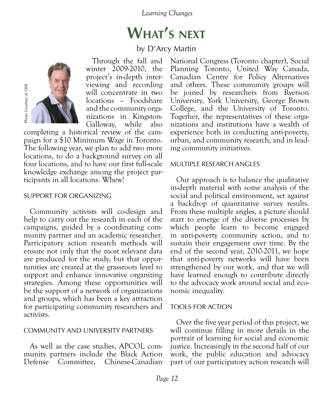# **What's next**

### by D'Arcy Martin



Through the fall and winter 2009-2010, the project's in-depth interviewing and recording will concentrate in two locations – Foodshare and the community organizations in Kingston-Galloway, while also

completing a historical review of the campaign for a \$10 Minimum Wage in Toronto. The following year, we plan to add two more locations, to do a background survey on all four locations, and to have our first full-scale knowledge exchange among the project participants in all locations. Whew!

#### SUPPORT FOR ORGANIZING

Community activists will co-design and help to carry out the research in each of the campaigns, guided by a coordinating community partner and an academic researcher. Participatory action research methods will ensure not only that the most relevant data are produced for the study, but that opportunities are created at the grassroots level to support and enhance innovative organizing strategies. Among these opportunities will be the support of a network of organizations and groups, which has been a key attraction for participating community researchers and activists.

#### COMMUNITY AND UNIVERSITY PARTNERS

As well as the case studies, APCOL community partners include the Black Action Defense Committee, Chinese-Canadian National Congress (Toronto chapter), Social Planning Toronto, United Way Canada, Canadian Centre for Policy Alternatives and others. These community groups will be joined by researchers from Ryerson University, York University, George Brown College, and the University of Toronto. Together, the representatives of these organizations and institutions have a wealth of experience both in conducting anti-poverty, urban, and community research, and in leading community initiatives.

#### MULTIPLE RESEARCH ANGLES

Our approach is to balance the qualitative in-depth material with some analysis of the social and political environment, set against a backdrop of quantitative survey results. From these multiple angles, a picture should start to emerge of the diverse processes by which people learn to become engaged in anti-poverty community action, and to sustain their engagement over time. By the end of the second year, 2010-2011, we hope that anti-poverty networks will have been strengthened by our work, and that we will have learned enough to contribute directly to the advocacy work around social and economic inequality.

### TOOLS FOR ACTION

Over the five year period of this project, we will continue filling in more details in the portrait of learning for social and economic justice. Increasingly in the second half of our work, the public education and advocacy part of our participatory action research will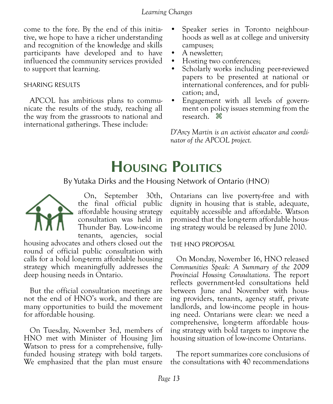come to the fore. By the end of this initiative, we hope to have a richer understanding and recognition of the knowledge and skills participants have developed and to have influenced the community services provided to support that learning.

#### SHARING RESULTS

APCOL has ambitious plans to communicate the results of the study, reaching all the way from the grassroots to national and international gatherings. These include:

- Speaker series in Toronto neighbourhoods as well as at college and university campuses;
- A newsletter:
- Hosting two conferences;
- Scholarly works including peer-reviewed papers to be presented at national or international conferences, and for publication; and,
- Engagement with all levels of government on policy issues stemming from the research.  $\mathcal{H}$

*D'Arcy Martin is an activist educator and coordinator of the APCOL project.*

## **Housing Politics**

### By Yutaka Dirks and the Housing Network of Ontario (HNO)



On, September 30th, the final official public affordable housing strategy consultation was held in Thunder Bay. Low-income tenants, agencies, social

housing advocates and others closed out the round of official public consultation with calls for a bold long-term affordable housing strategy which meaningfully addresses the deep housing needs in Ontario.

But the official consultation meetings are not the end of HNO's work, and there are many opportunities to build the movement for affordable housing.

On Tuesday, November 3rd, members of HNO met with Minister of Housing Jim Watson to press for a comprehensive, fullyfunded housing strategy with bold targets. We emphasized that the plan must ensure Ontarians can live poverty-free and with dignity in housing that is stable, adequate, equitably accessible and affordable. Watson ing strategy would be released by June 2010.

### THE HNO PROPOSAL

On Monday, November 16, HNO released *Communities Speak: A Summary of the 2009 Provincial Housing Consultations*. The report reflects government-led consultations held between June and November with housing providers, tenants, agency staff, private landlords, and low-income people in housing need. Ontarians were clear: we need a comprehensive, long-term affordable housing strategy with bold targets to improve the housing situation of low-income Ontarians.

The report summarizes core conclusions of the consultations with 40 recommendations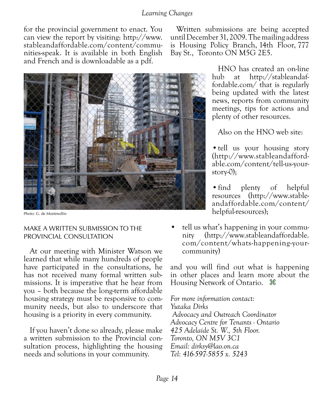for the provincial government to enact. You can view the report by visiting: [http://www.](http://www.stableandaffordable.com/content/communities-speak) [stableandaffordable.com/content/commu](http://www.stableandaffordable.com/content/communities-speak)[nities-speak](http://www.stableandaffordable.com/content/communities-speak). It is available in both English and French and is downloadable as a pdf.

#### MAKE A WRITTEN SUBMISSION TO THE PROVINCIAL CONSULTATION

At our meeting with Minister Watson we learned that while many hundreds of people have participated in the consultations, he has not received many formal written submissions. It is imperative that he hear from you – both because the long-term affordable housing strategy must be responsive to community needs, but also to underscore that housing is a priority in every community.

If you haven't done so already, please make a written submission to the Provincial consultation process, highlighting the housing needs and solutions in your community.

Written submissions are being accepted until December 31, 2009. The mailing address is Housing Policy Branch, 14th Floor, 777 Bay St., Toronto ON M5G 2E5.

> HNO has created an on-line hub at [http://stableandaf](http://www.stableandaffordable.com/content/communities-speak)[fordable.com/](http://www.stableandaffordable.com/content/communities-speak) that is regularly being updated with the latest news, reports from community meetings, tips for actions and plenty of other resources.

Also on the HNO web site:

• tell us your housing story ([http://www.stableandafford](http://www.stableandaffordable.com/content/tell-us-your-story-0)[able.com/content/tell-us-your](http://www.stableandaffordable.com/content/tell-us-your-story-0)[story-0](http://www.stableandaffordable.com/content/tell-us-your-story-0));

• find plenty of helpful resources [\(http://www.stable](http://www.stableandaffordable.com/content/helpful-resources)[andaffordable.com/content/](http://www.stableandaffordable.com/content/helpful-resources) [helpful-resources](http://www.stableandaffordable.com/content/helpful-resources));

tell us what's happening in your community [\(http://www.stableandaffordable.](http://www.stableandaffordable.com/content/whats-happening-your-community) [com/content/whats-happening-your](http://www.stableandaffordable.com/content/whats-happening-your-community)[community](http://www.stableandaffordable.com/content/whats-happening-your-community))

and you will find out what is happening in other places and learn more about the Housing Network of Ontario.  $\mathcal{H}$ 

*For more information contact: Yutaka Dirks Advocacy and Outreach Coordinator Advocacy Centre for Tenants - Ontario 425 Adelaide St. W., 5th Floor. Toronto, ON M5V 3C1 Email: dirksy@lao.on.ca Tel: 416-597-5855 x. 5243*

Photo: G. de Montmollin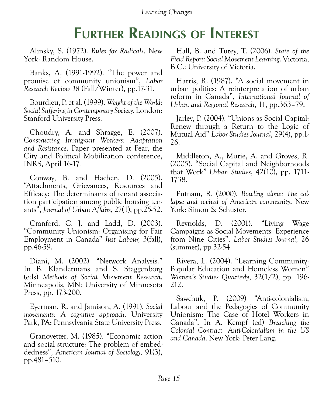## **Further Readings of Interest**

Alinsky, S. (1972). *Rules for Radicals*. New York: Random House.

Banks, A. (1991-1992). "The power and promise of community unionism", *Labor Research Review 18* (Fall/Winter), pp.17-31.

Bourdieu, P. et al. (1999). *Weight of the World: Social Suffering in Contemporary Society.* London: Stanford University Press.

Choudry, A. and Shragge, E. (2007). *Constructing Immigrant Workers: Adaptation and Resistance*. Paper presented at Fear, the City and Political Mobilization conference, INRS, April 16-17.

Conway, B. and Hachen, D. (2005). "Attachments, Grievances, Resources and Efficacy: The determinants of tenant association participation among public housing tenants", *Journal of Urban Affairs*, 27(1), pp.25-52.

Cranford, C. J. and Ladd, D. (2003). "Community Unionism: Organising for Fair Employment in Canada" *Just Labour,* 3(fall), pp.46-59.

Diani, M. (2002). "Network Analysis." In B. Klandermans and S. Staggenborg (eds) *Methods of Social Movement Research*. Minneapolis, MN: University of Minnesota Press, pp. 173-200.

Eyerman, R. and Jamison, A. (1991). *Social movements: A cognitive approach*. University Park, PA: Pennsylvania State University Press.

Granovetter, M. (1985). "Economic action and social structure: The problem of embeddedness", A*merican Journal of Sociology,* 91(3), pp.481–510.

Hall, B. and Turey, T. (2006). *State of the Field Report: Social Movement Learning*. Victoria, B.C.: University of Victoria.

Harris, R. (1987). "A social movement in urban politics: A reinterpretation of urban reform in Canada", *International Journal of Urban and Regional Research*, 11, pp.363–79.

Jarley, P. (2004). "Unions as Social Capital: Renew through a Return to the Logic of Mutual Aid" *Labor Studies Journal*, 29(4), pp.1- 26.

Middleton, A., Murie, A. and Groves, R. (2005). "Social Capital and Neighborhoods that Work" *Urban Studies*, 42(10), pp. 1711- 1738.

Putnam, R. (2000). *Bowling alone: The collapse and revival of American community*. New York: Simon & Schuster.

Reynolds, D. (2001). "Living Wage Campaigns as Social Movements: Experience from Nine Cities", *Labor Studies Journal*, 26 (summer), pp.32-54.

Rivera, L. (2004). "Learning Community: Popular Education and Homeless Women" *Women's Studies Quarterly*, 32(1/2), pp. 196- 212.

Sawchuk, P. (2009) "Anti-colonialism, Labour and the Pedagogies of Community Unionism: The Case of Hotel Workers in Canada". In A. Kempf (ed) *Breaching the Colonial Contract: Anti-Colonialism in the US and Canada*. New York: Peter Lang.